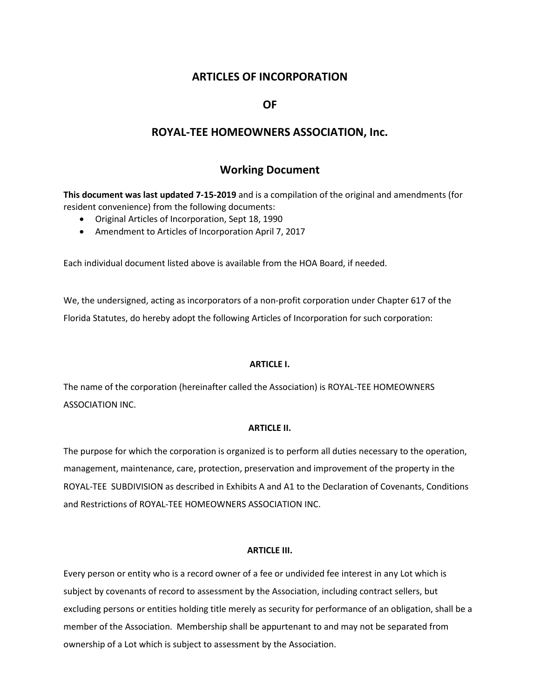# **ARTICLES OF INCORPORATION**

# **OF**

# **ROYAL-TEE HOMEOWNERS ASSOCIATION, Inc.**

# **Working Document**

**This document was last updated 7-15-2019** and is a compilation of the original and amendments (for resident convenience) from the following documents:

- Original Articles of Incorporation, Sept 18, 1990
- Amendment to Articles of Incorporation April 7, 2017

Each individual document listed above is available from the HOA Board, if needed.

We, the undersigned, acting as incorporators of a non-profit corporation under Chapter 617 of the Florida Statutes, do hereby adopt the following Articles of Incorporation for such corporation:

### **ARTICLE I.**

The name of the corporation (hereinafter called the Association) is ROYAL-TEE HOMEOWNERS ASSOCIATION INC.

### **ARTICLE II.**

The purpose for which the corporation is organized is to perform all duties necessary to the operation, management, maintenance, care, protection, preservation and improvement of the property in the ROYAL-TEE SUBDIVISION as described in Exhibits A and A1 to the Declaration of Covenants, Conditions and Restrictions of ROYAL-TEE HOMEOWNERS ASSOCIATION INC.

### **ARTICLE III.**

Every person or entity who is a record owner of a fee or undivided fee interest in any Lot which is subject by covenants of record to assessment by the Association, including contract sellers, but excluding persons or entities holding title merely as security for performance of an obligation, shall be a member of the Association. Membership shall be appurtenant to and may not be separated from ownership of a Lot which is subject to assessment by the Association.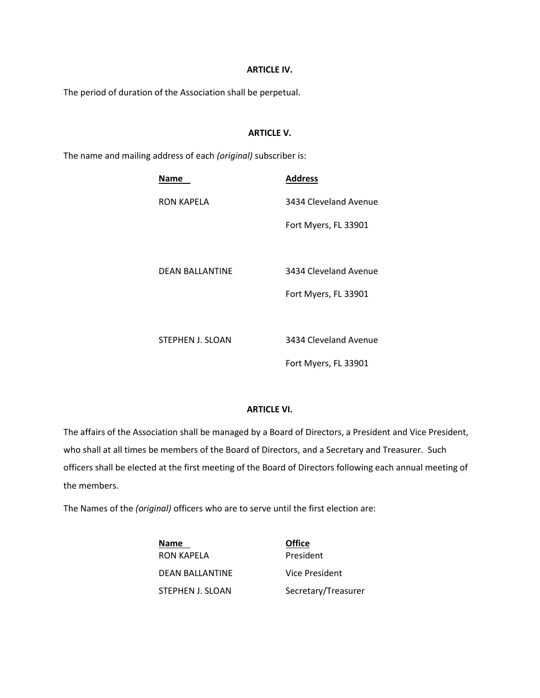### **ARTICLE IV.**

The period of duration of the Association shall be perpetual.

## **ARTICLE V.**

The name and mailing address of each *(original)* subscriber is:

| Name             | Address               |
|------------------|-----------------------|
| RON KAPELA       | 3434 Cleveland Avenue |
|                  | Fort Myers, FL 33901  |
|                  |                       |
| DEAN BALLANTINE  | 3434 Cleveland Avenue |
|                  | Fort Myers, FL 33901  |
|                  |                       |
| STEPHEN J. SLOAN | 3434 Cleveland Avenue |
|                  | Fort Myers, FL 33901  |

# **ARTICLE VI.**

The affairs of the Association shall be managed by a Board of Directors, a President and Vice President, who shall at all times be members of the Board of Directors, and a Secretary and Treasurer. Such officers shall be elected at the first meeting of the Board of Directors following each annual meeting of the members.

The Names of the *(original)* officers who are to serve until the first election are:

**Name Office** RON KAPELA President DEAN BALLANTINE Vice President STEPHEN J. SLOAN Secretary/Treasurer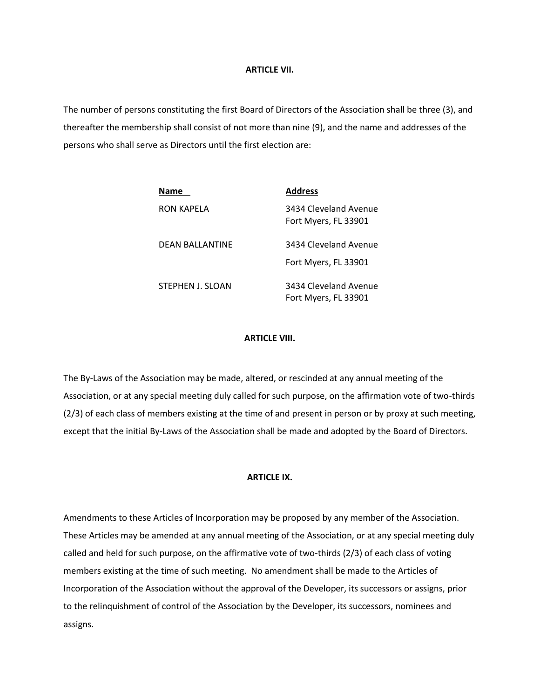### **ARTICLE VII.**

The number of persons constituting the first Board of Directors of the Association shall be three (3), and thereafter the membership shall consist of not more than nine (9), and the name and addresses of the persons who shall serve as Directors until the first election are:

| Name             | <b>Address</b>                                |
|------------------|-----------------------------------------------|
| RON KAPELA       | 3434 Cleveland Avenue<br>Fort Myers, FL 33901 |
| DEAN BALLANTINE  | 3434 Cleveland Avenue<br>Fort Myers, FL 33901 |
| STEPHEN J. SLOAN | 3434 Cleveland Avenue<br>Fort Myers, FL 33901 |

### **ARTICLE VIII.**

The By-Laws of the Association may be made, altered, or rescinded at any annual meeting of the Association, or at any special meeting duly called for such purpose, on the affirmation vote of two-thirds (2/3) of each class of members existing at the time of and present in person or by proxy at such meeting, except that the initial By-Laws of the Association shall be made and adopted by the Board of Directors.

### **ARTICLE IX.**

Amendments to these Articles of Incorporation may be proposed by any member of the Association. These Articles may be amended at any annual meeting of the Association, or at any special meeting duly called and held for such purpose, on the affirmative vote of two-thirds (2/3) of each class of voting members existing at the time of such meeting. No amendment shall be made to the Articles of Incorporation of the Association without the approval of the Developer, its successors or assigns, prior to the relinquishment of control of the Association by the Developer, its successors, nominees and assigns.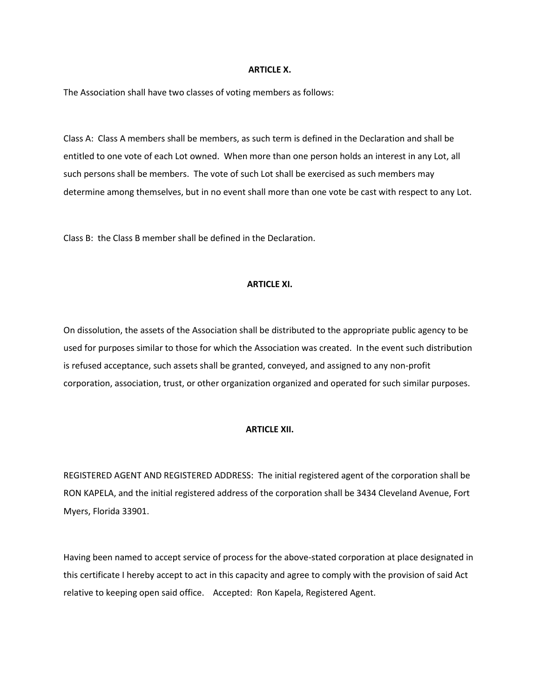#### **ARTICLE X.**

The Association shall have two classes of voting members as follows:

Class A: Class A members shall be members, as such term is defined in the Declaration and shall be entitled to one vote of each Lot owned. When more than one person holds an interest in any Lot, all such persons shall be members. The vote of such Lot shall be exercised as such members may determine among themselves, but in no event shall more than one vote be cast with respect to any Lot.

Class B: the Class B member shall be defined in the Declaration.

#### **ARTICLE XI.**

On dissolution, the assets of the Association shall be distributed to the appropriate public agency to be used for purposes similar to those for which the Association was created. In the event such distribution is refused acceptance, such assets shall be granted, conveyed, and assigned to any non-profit corporation, association, trust, or other organization organized and operated for such similar purposes.

### **ARTICLE XII.**

REGISTERED AGENT AND REGISTERED ADDRESS: The initial registered agent of the corporation shall be RON KAPELA, and the initial registered address of the corporation shall be 3434 Cleveland Avenue, Fort Myers, Florida 33901.

Having been named to accept service of process for the above-stated corporation at place designated in this certificate I hereby accept to act in this capacity and agree to comply with the provision of said Act relative to keeping open said office. Accepted: Ron Kapela, Registered Agent.